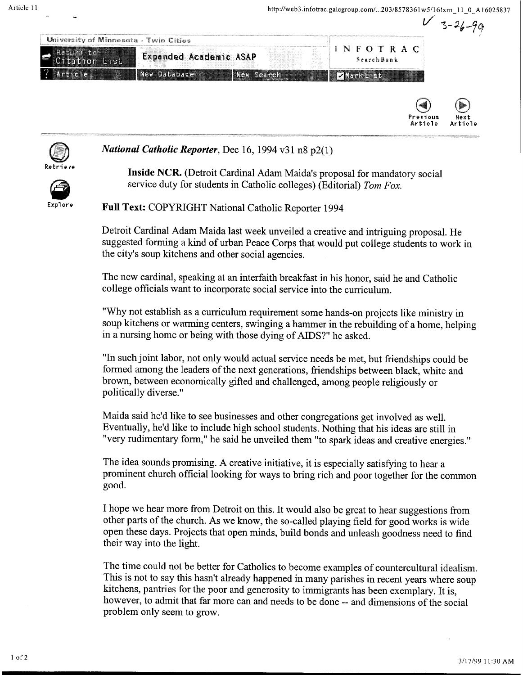



*National Catholic Reporter,* Dec 16, 1994 v31 n8 p2(1)

EXPIONe.

**Inside NCR.** (Detroit Cardinal Adam Maida's proposal for mandatory social service duty for students in Catholic colleges) (Editorial) *Tom Fox.* 

**Full Text:** COPYRIGHT National Catholic Reporter 1994

Detroit Cardinal Adam Maida last week unveiled a creative and intriguing proposal. He suggested forming a kind of urban Peace Corps that would put college students to work in the city's soup kitchens and other social agencies.

The new cardinal, speaking at an interfaith breakfast in his honor, said he and Catholic college officials want to incorporate social service into the curriculum.

"Why not establish as a curriculum requirement some hands-on projects like ministry in soup kitchens or warming centers, swinging a hammer in the rebuilding of a horne, helping in a nursing horne or being with those dying of AIDS?" he asked.

"In such joint labor, not only would actual service needs be met, but friendships could be formed among the leaders of the next generations, friendships between black, white and brown, between economically gifted and challenged, among people religiously or politically diverse."

Maida said he'd like to see businesses and other congregations get involved as well. Eventually, he'd like to include high school students. Nothing that his ideas are still in "very rudimentary form," he said he unveiled them "to spark ideas and creative energies."

The idea sounds promising. A creative initiative, it is especially satisfying to hear a prominent church official looking for ways to bring rich and poor together for the common good.

I hope we hear more from Detroit on this. It would also be great to hear suggestions from other parts of the church. As we know, the so-called playing field for good works is wide open these days. Projects that open minds, build bonds and unleash goodness need to find their way into the light.

The time could not be better for Catholics to become examples of countercultural idealism. This is not to say this hasn't already happened in many parishes in recent years where soup kitchens, pantries for the poor and generosity to immigrants has been exemplary. It is, however, to admit that far more can and needs to be done-- and dimensions of the social problem only seem to grow.